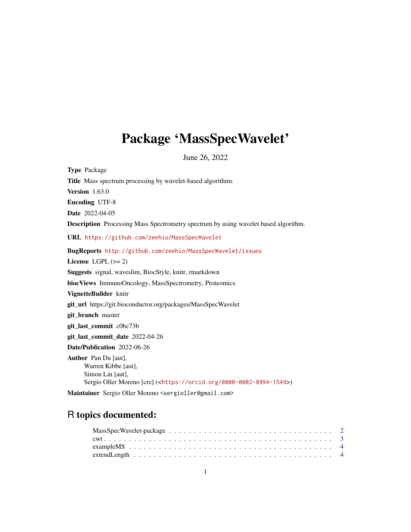## <span id="page-0-0"></span>Package 'MassSpecWavelet'

June 26, 2022

Type Package Title Mass spectrum processing by wavelet-based algorithms Version 1.63.0 Encoding UTF-8 Date 2022-04-05 Description Processing Mass Spectrometry spectrum by using wavelet based algorithm. URL <https://github.com/zeehio/MassSpecWavelet> BugReports <http://github.com/zeehio/MassSpecWavelet/issues> License LGPL  $(>= 2)$ Suggests signal, waveslim, BiocStyle, knitr, rmarkdown biocViews ImmunoOncology, MassSpectrometry, Proteomics VignetteBuilder knitr git\_url https://git.bioconductor.org/packages/MassSpecWavelet git branch master git\_last\_commit c0bc73b git\_last\_commit\_date 2022-04-26 Date/Publication 2022-06-26 Author Pan Du [aut], Warren Kibbe [aut], Simon Lin [aut], Sergio Oller Moreno [cre] (<<https://orcid.org/0000-0002-8994-1549>>)

Maintainer Sergio Oller Moreno <sergioller@gmail.com>

## R topics documented: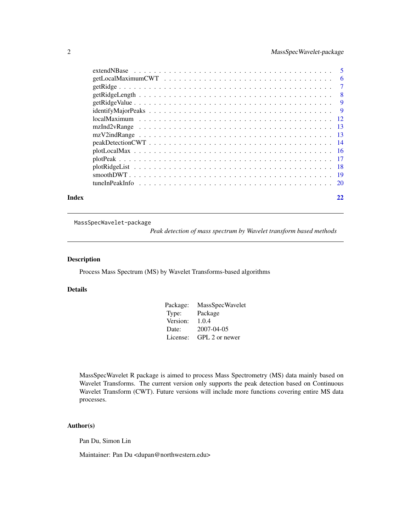<span id="page-1-0"></span>

| Index | 22 |
|-------|----|
|       |    |

MassSpecWavelet-package

*Peak detection of mass spectrum by Wavelet transform based methods*

## Description

Process Mass Spectrum (MS) by Wavelet Transforms-based algorithms

## Details

| Package: | <b>MassSpecWavelet</b> |
|----------|------------------------|
| Type:    | Package                |
| Version: | 1.0.4                  |
| Date:    | 2007-04-05             |
| License: | GPL 2 or newer         |

MassSpecWavelet R package is aimed to process Mass Spectrometry (MS) data mainly based on Wavelet Transforms. The current version only supports the peak detection based on Continuous Wavelet Transform (CWT). Future versions will include more functions covering entire MS data processes.

## Author(s)

Pan Du, Simon Lin

Maintainer: Pan Du <dupan@northwestern.edu>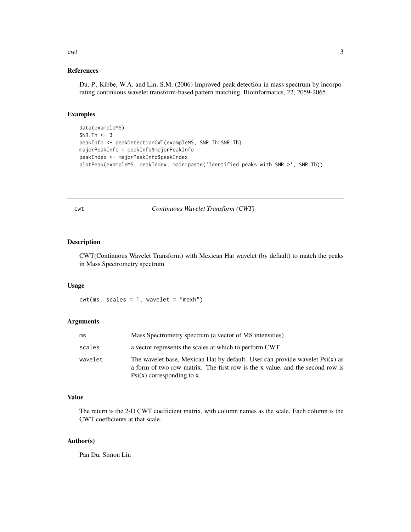#### References

Du, P., Kibbe, W.A. and Lin, S.M. (2006) Improved peak detection in mass spectrum by incorporating continuous wavelet transform-based pattern matching, Bioinformatics, 22, 2059-2065.

## Examples

```
data(exampleMS)
SNR.Th \leq -3peakInfo <- peakDetectionCWT(exampleMS, SNR.Th=SNR.Th)
majorPeakInfo = peakInfo$majorPeakInfo
peakIndex <- majorPeakInfo$peakIndex
plotPeak(exampleMS, peakIndex, main=paste('Identified peaks with SNR >', SNR.Th))
```
<span id="page-2-1"></span>cwt *Continuous Wavelet Transform (CWT)*

### Description

CWT(Continuous Wavelet Transform) with Mexican Hat wavelet (by default) to match the peaks in Mass Spectrometry spectrum

#### Usage

 $\text{cut}(\text{ms}, \text{ scales} = 1, \text{ wavelet} = \text{"mexh"})$ 

### Arguments

| ms      | Mass Spectrometry spectrum (a vector of MS intensities)                                                                                                                                                |
|---------|--------------------------------------------------------------------------------------------------------------------------------------------------------------------------------------------------------|
| scales  | a vector represents the scales at which to perform CWT.                                                                                                                                                |
| wavelet | The wavelet base, Mexican Hat by default. User can provide wavelet $\text{Psi}(x)$ as<br>a form of two row matrix. The first row is the x value, and the second row is<br>$Psi(x)$ corresponding to x. |

#### Value

The return is the 2-D CWT coefficient matrix, with column names as the scale. Each column is the CWT coefficients at that scale.

#### Author(s)

Pan Du, Simon Lin

<span id="page-2-0"></span> $\alpha$  3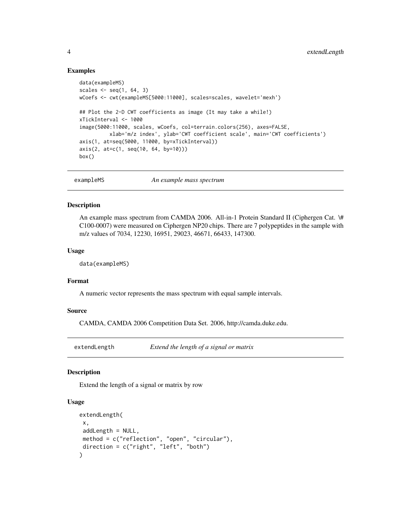#### Examples

```
data(exampleMS)
scales \leq seq(1, 64, 3)
wCoefs <- cwt(exampleMS[5000:11000], scales=scales, wavelet='mexh')
## Plot the 2-D CWT coefficients as image (It may take a while!)
xTickInterval <- 1000
image(5000:11000, scales, wCoefs, col=terrain.colors(256), axes=FALSE,
         xlab='m/z index', ylab='CWT coefficient scale', main='CWT coefficients')
axis(1, at=seq(5000, 11000, by=xTickInterval))
axis(2, at=c(1, seq(10, 64, by=10)))
box()
```
exampleMS *An example mass spectrum*

#### Description

An example mass spectrum from CAMDA 2006. All-in-1 Protein Standard II (Ciphergen Cat. \# C100-0007) were measured on Ciphergen NP20 chips. There are 7 polypeptides in the sample with m/z values of 7034, 12230, 16951, 29023, 46671, 66433, 147300.

#### Usage

data(exampleMS)

## Format

A numeric vector represents the mass spectrum with equal sample intervals.

## Source

CAMDA, CAMDA 2006 Competition Data Set. 2006, http://camda.duke.edu.

<span id="page-3-1"></span>extendLength *Extend the length of a signal or matrix*

#### Description

Extend the length of a signal or matrix by row

#### Usage

```
extendLength(
x,
addLength = NULL,
method = c("reflection", "open", "circular"),
direction = c("right", "left", "both")
)
```
<span id="page-3-0"></span>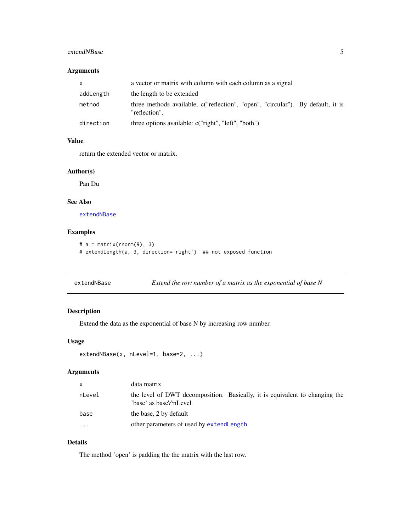## <span id="page-4-0"></span>extendNBase 5

#### Arguments

| X         | a vector or matrix with column with each column as a signal                                      |
|-----------|--------------------------------------------------------------------------------------------------|
| addLength | the length to be extended                                                                        |
| method    | three methods available, c("reflection", "open", "circular"). By default, it is<br>"reflection". |
| direction | three options available: c("right", "left", "both")                                              |

## Value

return the extended vector or matrix.

#### Author(s)

Pan Du

#### See Also

[extendNBase](#page-4-1)

#### Examples

```
# a = matrix(rnorm(9), 3)# extendLength(a, 3, direction='right') ## not exposed function
```
<span id="page-4-1"></span>extendNBase *Extend the row number of a matrix as the exponential of base N*

## Description

Extend the data as the exponential of base N by increasing row number.

## Usage

```
extendNBase(x, nLevel=1, base=2, ...)
```
## Arguments

| $\mathsf{x}$ | data matrix                                                                                           |
|--------------|-------------------------------------------------------------------------------------------------------|
| nLevel       | the level of DWT decomposition. Basically, it is equivalent to changing the<br>'base' as base\^nLevel |
| base         | the base, 2 by default                                                                                |
| .            | other parameters of used by extendLength                                                              |

## Details

The method 'open' is padding the the matrix with the last row.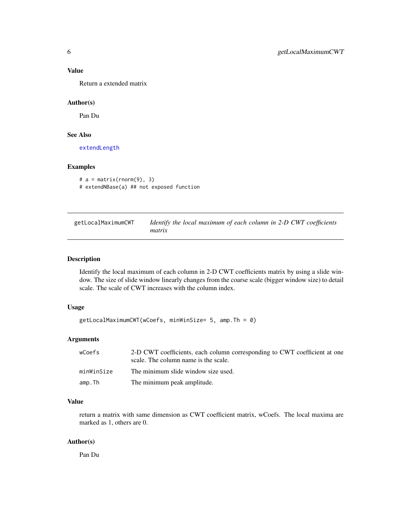<span id="page-5-0"></span>Return a extended matrix

#### Author(s)

Pan Du

#### See Also

[extendLength](#page-3-1)

#### Examples

```
# a = matrix(rnorm(9), 3)# extendNBase(a) ## not exposed function
```
<span id="page-5-1"></span>

| getLocalMaximumCWT | Identify the local maximum of each column in 2-D CWT coefficients |
|--------------------|-------------------------------------------------------------------|
|                    | matrix                                                            |

## Description

Identify the local maximum of each column in 2-D CWT coefficients matrix by using a slide window. The size of slide window linearly changes from the coarse scale (bigger window size) to detail scale. The scale of CWT increases with the column index.

#### Usage

```
getLocalMaximumCWT(wCoefs, minWinSize= 5, amp.Th = 0)
```
## Arguments

| wCoefs     | 2-D CWT coefficients, each column corresponding to CWT coefficient at one<br>scale. The column name is the scale. |
|------------|-------------------------------------------------------------------------------------------------------------------|
| minWinSize | The minimum slide window size used.                                                                               |
| amp.Th     | The minimum peak amplitude.                                                                                       |

#### Value

return a matrix with same dimension as CWT coefficient matrix, wCoefs. The local maxima are marked as 1, others are 0.

## Author(s)

Pan Du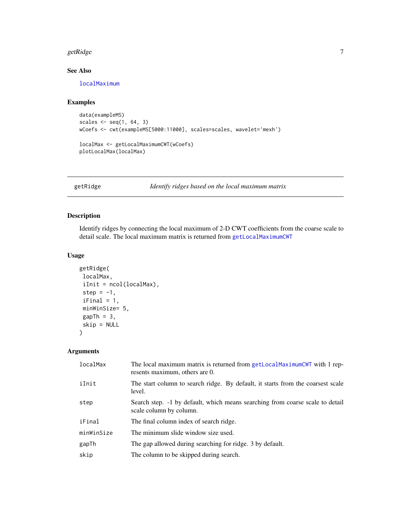#### <span id="page-6-0"></span>getRidge 7 and 2012 and 2013 and 2013 and 2013 and 2013 and 2013 and 2013 and 2013 and 2013 and 2013 and 2013

## See Also

[localMaximum](#page-11-1)

## Examples

```
data(exampleMS)
scales \leq seq(1, 64, 3)
wCoefs <- cwt(exampleMS[5000:11000], scales=scales, wavelet='mexh')
```

```
localMax <- getLocalMaximumCWT(wCoefs)
plotLocalMax(localMax)
```
<span id="page-6-1"></span>getRidge *Identify ridges based on the local maximum matrix*

## Description

Identify ridges by connecting the local maximum of 2-D CWT coefficients from the coarse scale to detail scale. The local maximum matrix is returned from [getLocalMaximumCWT](#page-5-1)

## Usage

```
getRidge(
 localMax,
 iInit = ncol(localMax),
 step = -1,
 iFinal = 1,
 minWinSize= 5,
 gapTh = 3,
 skip = NULL
\mathcal{L}
```
## Arguments

| localMax   | The local maximum matrix is returned from getLocalMaximumCWT with 1 rep-<br>resents maximum, others are 0. |
|------------|------------------------------------------------------------------------------------------------------------|
| iInit      | The start column to search ridge. By default, it starts from the coarsest scale<br>level.                  |
| step       | Search step. -1 by default, which means searching from coarse scale to detail<br>scale column by column.   |
| iFinal     | The final column index of search ridge.                                                                    |
| minWinSize | The minimum slide window size used.                                                                        |
| gapTh      | The gap allowed during searching for ridge. 3 by default.                                                  |
| skip       | The column to be skipped during search.                                                                    |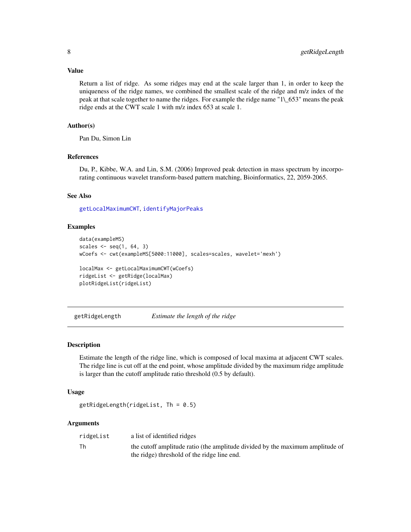<span id="page-7-0"></span>Return a list of ridge. As some ridges may end at the scale larger than 1, in order to keep the uniqueness of the ridge names, we combined the smallest scale of the ridge and m/z index of the peak at that scale together to name the ridges. For example the ridge name "1\\_653" means the peak ridge ends at the CWT scale 1 with m/z index 653 at scale 1.

#### Author(s)

Pan Du, Simon Lin

## References

Du, P., Kibbe, W.A. and Lin, S.M. (2006) Improved peak detection in mass spectrum by incorporating continuous wavelet transform-based pattern matching, Bioinformatics, 22, 2059-2065.

## See Also

[getLocalMaximumCWT](#page-5-1), [identifyMajorPeaks](#page-8-1)

#### Examples

```
data(exampleMS)
scales \leq seq(1, 64, 3)
wCoefs <- cwt(exampleMS[5000:11000], scales=scales, wavelet='mexh')
localMax <- getLocalMaximumCWT(wCoefs)
ridgeList <- getRidge(localMax)
plotRidgeList(ridgeList)
```
getRidgeLength *Estimate the length of the ridge*

#### Description

Estimate the length of the ridge line, which is composed of local maxima at adjacent CWT scales. The ridge line is cut off at the end point, whose amplitude divided by the maximum ridge amplitude is larger than the cutoff amplitude ratio threshold (0.5 by default).

#### Usage

```
getRidgeLength(ridgeList, Th = 0.5)
```
#### Arguments

| ridgeList | a list of identified ridges                                                   |
|-----------|-------------------------------------------------------------------------------|
| Th        | the cutoff amplitude ratio (the amplitude divided by the maximum amplitude of |
|           | the ridge) threshold of the ridge line end.                                   |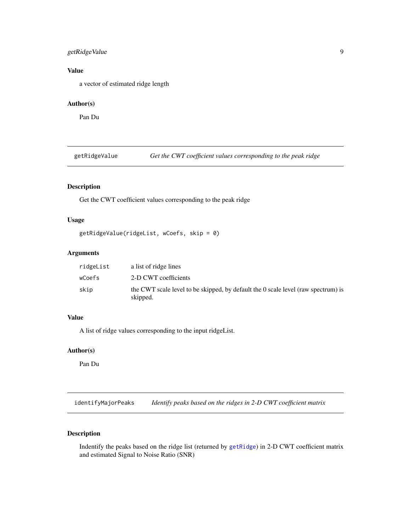## <span id="page-8-0"></span>getRidgeValue 9

## Value

a vector of estimated ridge length

## Author(s)

Pan Du

getRidgeValue *Get the CWT coefficient values corresponding to the peak ridge*

## Description

Get the CWT coefficient values corresponding to the peak ridge

#### Usage

```
getRidgeValue(ridgeList, wCoefs, skip = 0)
```
## Arguments

| ridgeList | a list of ridge lines                                                                         |
|-----------|-----------------------------------------------------------------------------------------------|
| wCoefs    | 2-D CWT coefficients                                                                          |
| skip      | the CWT scale level to be skipped, by default the 0 scale level (raw spectrum) is<br>skipped. |

## Value

A list of ridge values corresponding to the input ridgeList.

## Author(s)

Pan Du

<span id="page-8-1"></span>identifyMajorPeaks *Identify peaks based on the ridges in 2-D CWT coefficient matrix*

## Description

Indentify the peaks based on the ridge list (returned by [getRidge](#page-6-1)) in 2-D CWT coefficient matrix and estimated Signal to Noise Ratio (SNR)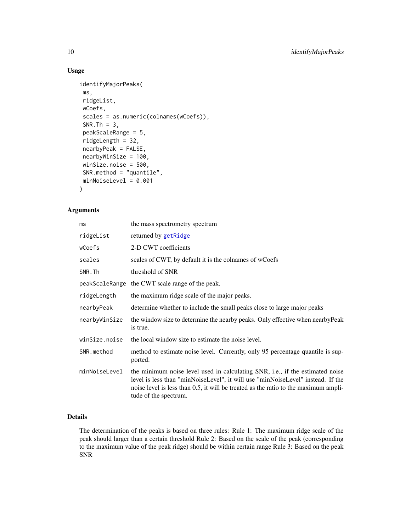## Usage

```
identifyMajorPeaks(
ms,
ridgeList,
wCoefs,
scales = as.numeric(colnames(wCoefs)),
SNR.Th = 3,
peakScaleRange = 5,
ridgeLength = 32,
nearbyPeak = FALSE,
nearbyWinSize = 100,
winSize.noise = 500,
SNR.method = "quantile",
minNoiseLevel = 0.001
)
```
## Arguments

| ms            | the mass spectrometry spectrum                                                                                                                                                                                                                                                   |
|---------------|----------------------------------------------------------------------------------------------------------------------------------------------------------------------------------------------------------------------------------------------------------------------------------|
| ridgeList     | returned by getRidge                                                                                                                                                                                                                                                             |
| wCoefs        | 2-D CWT coefficients                                                                                                                                                                                                                                                             |
| scales        | scales of CWT, by default it is the colnames of wCoefs                                                                                                                                                                                                                           |
| SNR.Th        | threshold of SNR                                                                                                                                                                                                                                                                 |
|               | peakScaleRange the CWT scale range of the peak.                                                                                                                                                                                                                                  |
| ridgeLength   | the maximum ridge scale of the major peaks.                                                                                                                                                                                                                                      |
| nearbyPeak    | determine whether to include the small peaks close to large major peaks                                                                                                                                                                                                          |
| nearbyWinSize | the window size to determine the nearby peaks. Only effective when nearby Peak<br>is true.                                                                                                                                                                                       |
| winSize.noise | the local window size to estimate the noise level.                                                                                                                                                                                                                               |
| SNR.method    | method to estimate noise level. Currently, only 95 percentage quantile is sup-<br>ported.                                                                                                                                                                                        |
| minNoiseLevel | the minimum noise level used in calculating SNR, i.e., if the estimated noise<br>level is less than "minNoiseLevel", it will use "minNoiseLevel" instead. If the<br>noise level is less than 0.5, it will be treated as the ratio to the maximum ampli-<br>tude of the spectrum. |

#### Details

The determination of the peaks is based on three rules: Rule 1: The maximum ridge scale of the peak should larger than a certain threshold Rule 2: Based on the scale of the peak (corresponding to the maximum value of the peak ridge) should be within certain range Rule 3: Based on the peak SNR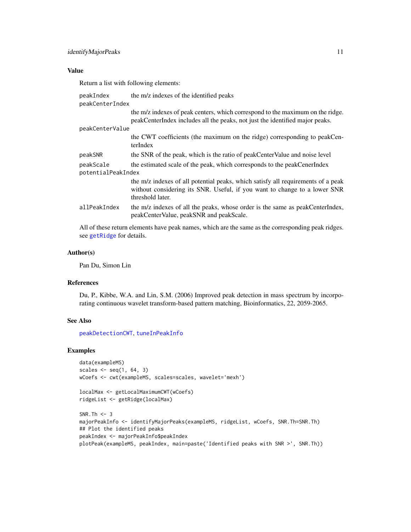<span id="page-10-0"></span>Return a list with following elements:

| peakIndex<br>peakCenterIndex    | the m/z indexes of the identified peaks                                                                                                                                           |
|---------------------------------|-----------------------------------------------------------------------------------------------------------------------------------------------------------------------------------|
|                                 | the m/z indexes of peak centers, which correspond to the maximum on the ridge.<br>peakCenterIndex includes all the peaks, not just the identified major peaks.                    |
| peakCenterValue                 |                                                                                                                                                                                   |
|                                 | the CWT coefficients (the maximum on the ridge) corresponding to peakCen-<br>terIndex                                                                                             |
| peakSNR                         | the SNR of the peak, which is the ratio of peakCenterValue and noise level                                                                                                        |
| peakScale<br>potentialPeakIndex | the estimated scale of the peak, which corresponds to the peakCenerIndex                                                                                                          |
|                                 | the m/z indexes of all potential peaks, which satisfy all requirements of a peak<br>without considering its SNR. Useful, if you want to change to a lower SNR<br>threshold later. |
| allPeakIndex                    | the m/z indexes of all the peaks, whose order is the same as peakCenterIndex,<br>peakCenterValue, peakSNR and peakScale.                                                          |
|                                 |                                                                                                                                                                                   |

All of these return elements have peak names, which are the same as the corresponding peak ridges. see [getRidge](#page-6-1) for details.

#### Author(s)

Pan Du, Simon Lin

#### References

Du, P., Kibbe, W.A. and Lin, S.M. (2006) Improved peak detection in mass spectrum by incorporating continuous wavelet transform-based pattern matching, Bioinformatics, 22, 2059-2065.

#### See Also

[peakDetectionCWT](#page-13-1), [tuneInPeakInfo](#page-19-1)

```
data(exampleMS)
scales \leq seq(1, 64, 3)
wCoefs <- cwt(exampleMS, scales=scales, wavelet='mexh')
```

```
localMax <- getLocalMaximumCWT(wCoefs)
ridgeList <- getRidge(localMax)
```

```
SNR.Th <-3majorPeakInfo <- identifyMajorPeaks(exampleMS, ridgeList, wCoefs, SNR.Th=SNR.Th)
## Plot the identified peaks
peakIndex <- majorPeakInfo$peakIndex
plotPeak(exampleMS, peakIndex, main=paste('Identified peaks with SNR >', SNR.Th))
```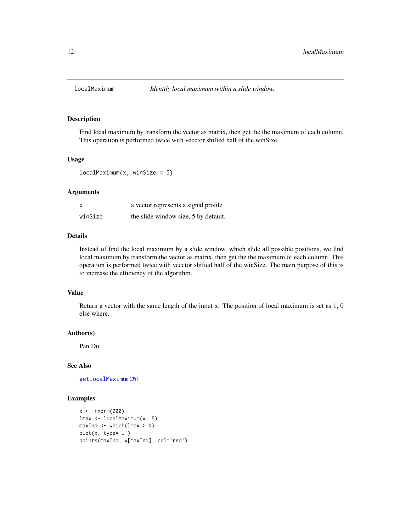<span id="page-11-1"></span><span id="page-11-0"></span>

Find local maximum by transform the vector as matrix, then get the the maximum of each column. This operation is performed twice with vecctor shifted half of the winSize.

#### Usage

 $localMaximum(x, winsSize = 5)$ 

#### Arguments

| x       | a vector represents a signal profile |
|---------|--------------------------------------|
| winSize | the slide window size, 5 by default. |

## Details

Instead of find the local maximum by a slide window, which slide all possible positions, we find local maximum by transform the vector as matrix, then get the the maximum of each column. This operation is performed twice with vecctor shifted half of the winSize. The main purpose of this is to increase the efficiency of the algorithm.

#### Value

Return a vector with the same length of the input x. The position of local maximum is set as 1, 0 else where.

#### Author(s)

Pan Du

## See Also

[getLocalMaximumCWT](#page-5-1)

```
x \leftarrow \text{rnorm}(200)lmax <- localMaximum(x, 5)
maxInd \leftarrow which (lmax > 0)plot(x, type='l')
points(maxInd, x[maxInd], col='red')
```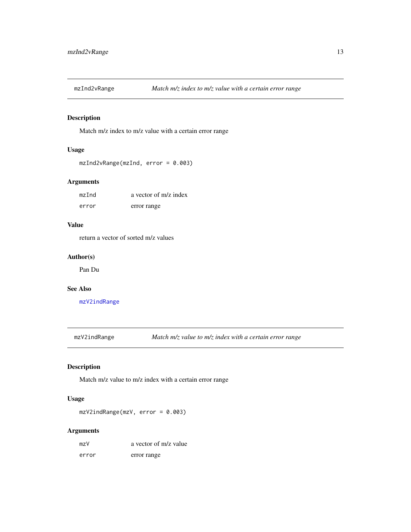<span id="page-12-2"></span><span id="page-12-0"></span>

Match m/z index to m/z value with a certain error range

## Usage

```
mzInd2vRange(mzInd, error = 0.003)
```
## Arguments

| mzInd | a vector of m/z index |
|-------|-----------------------|
| error | error range           |

## Value

return a vector of sorted m/z values

#### Author(s)

Pan Du

## See Also

[mzV2indRange](#page-12-1)

<span id="page-12-1"></span>mzV2indRange *Match m/z value to m/z index with a certain error range*

## Description

Match m/z value to m/z index with a certain error range

## Usage

mzV2indRange(mzV, error = 0.003)

## Arguments

| mzV   | a vector of m/z value |
|-------|-----------------------|
| error | error range           |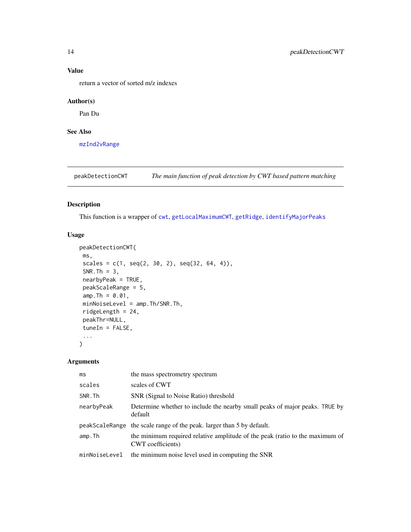return a vector of sorted m/z indexes

## Author(s)

Pan Du

## See Also

[mzInd2vRange](#page-12-2)

<span id="page-13-1"></span>peakDetectionCWT *The main function of peak detection by CWT based pattern matching*

## Description

This function is a wrapper of [cwt](#page-2-1), [getLocalMaximumCWT](#page-5-1), [getRidge](#page-6-1), [identifyMajorPeaks](#page-8-1)

## Usage

```
peakDetectionCWT(
ms,
scales = c(1, seq(2, 30, 2), seq(32, 64, 4)),SNR. Th = 3,
nearbyPeak = TRUE,
peakScaleRange = 5,
amp. Th = 0.01,minNoiseLevel = amp.Th/SNR.Th,
ridgeLength = 24,
peakThr=NULL,
tuneIn = FALSE,...
)
```
## Arguments

| ms            | the mass spectrometry spectrum                                                                    |
|---------------|---------------------------------------------------------------------------------------------------|
| scales        | scales of CWT                                                                                     |
| SNR.Th        | SNR (Signal to Noise Ratio) threshold                                                             |
| nearbyPeak    | Determine whether to include the nearby small peaks of major peaks. TRUE by<br>default            |
|               | peakScaleRange the scale range of the peak. larger than 5 by default.                             |
| amp.Th        | the minimum required relative amplitude of the peak (ratio to the maximum of<br>CWT coefficients) |
| minNoiseLevel | the minimum noise level used in computing the SNR                                                 |

<span id="page-13-0"></span>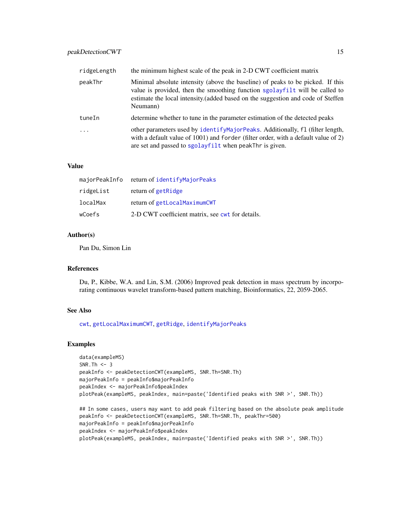<span id="page-14-0"></span>

| ridgeLength | the minimum highest scale of the peak in 2-D CWT coefficient matrix                                                                                                                                                                                          |
|-------------|--------------------------------------------------------------------------------------------------------------------------------------------------------------------------------------------------------------------------------------------------------------|
| peakThr     | Minimal absolute intensity (above the baseline) of peaks to be picked. If this<br>value is provided, then the smoothing function sgolayfilt will be called to<br>estimate the local intensity (added based on the suggestion and code of Steffen<br>Neumann) |
| tuneIn      | determine whether to tune in the parameter estimation of the detected peaks                                                                                                                                                                                  |
| .           | other parameters used by identifyMajorPeaks. Additionally, fl (filter length,<br>with a default value of 1001) and forder (filter order, with a default value of 2)<br>are set and passed to sgolayfilt when peakThr is given.                               |

|           | majorPeakInfo return of identifyMajorPeaks       |
|-----------|--------------------------------------------------|
| ridgeList | return of getRidge                               |
| localMax  | return of getLocalMaximumCWT                     |
| wCoefs    | 2-D CWT coefficient matrix, see cwt for details. |

## Author(s)

Pan Du, Simon Lin

#### References

Du, P., Kibbe, W.A. and Lin, S.M. (2006) Improved peak detection in mass spectrum by incorporating continuous wavelet transform-based pattern matching, Bioinformatics, 22, 2059-2065.

## See Also

[cwt](#page-2-1), [getLocalMaximumCWT](#page-5-1), [getRidge](#page-6-1), [identifyMajorPeaks](#page-8-1)

```
data(exampleMS)
SNR.Th <-3peakInfo <- peakDetectionCWT(exampleMS, SNR.Th=SNR.Th)
majorPeakInfo = peakInfo$majorPeakInfo
peakIndex <- majorPeakInfo$peakIndex
plotPeak(exampleMS, peakIndex, main=paste('Identified peaks with SNR >', SNR.Th))
```

```
## In some cases, users may want to add peak filtering based on the absolute peak amplitude
peakInfo <- peakDetectionCWT(exampleMS, SNR.Th=SNR.Th, peakThr=500)
majorPeakInfo = peakInfo$majorPeakInfo
peakIndex <- majorPeakInfo$peakIndex
plotPeak(exampleMS, peakIndex, main=paste('Identified peaks with SNR >', SNR.Th))
```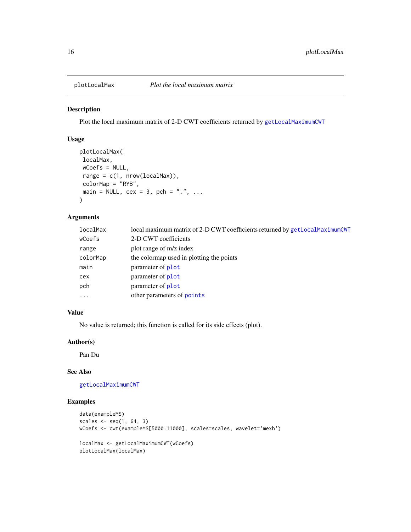<span id="page-15-0"></span>

Plot the local maximum matrix of 2-D CWT coefficients returned by [getLocalMaximumCWT](#page-5-1)

#### Usage

```
plotLocalMax(
localMax,
wCoefs = NULL,
range = c(1, nrow(localMax)),colorMap = "RYB",
main = NULL, cex = 3, pch = ".", ...
\mathcal{L}
```
## Arguments

| localMax | local maximum matrix of 2-D CWT coefficients returned by getLocalMaximumCWT |
|----------|-----------------------------------------------------------------------------|
| wCoefs   | 2-D CWT coefficients                                                        |
| range    | plot range of m/z index                                                     |
| colorMap | the colormap used in plotting the points                                    |
| main     | parameter of plot                                                           |
| cex      | parameter of plot                                                           |
| pch      | parameter of plot                                                           |
| $\cdot$  | other parameters of points                                                  |

#### Value

No value is returned; this function is called for its side effects (plot).

#### Author(s)

Pan Du

## See Also

[getLocalMaximumCWT](#page-5-1)

```
data(exampleMS)
scales \leq seq(1, 64, 3)
wCoefs <- cwt(exampleMS[5000:11000], scales=scales, wavelet='mexh')
```

```
localMax <- getLocalMaximumCWT(wCoefs)
plotLocalMax(localMax)
```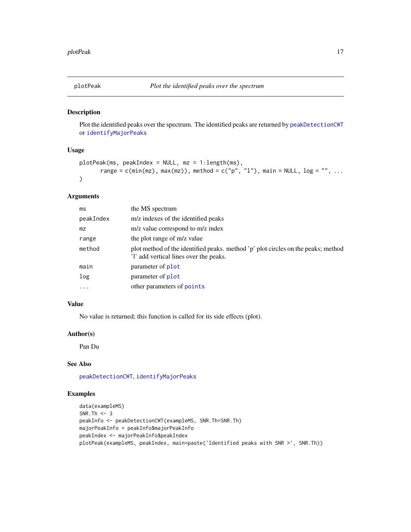<span id="page-16-0"></span>

Plot the identified peaks over the spectrum. The identified peaks are returned by [peakDetectionCWT](#page-13-1) or [identifyMajorPeaks](#page-8-1)

#### Usage

```
plotPeak(ms, peakIndex = NULL, mz = 1:length(ms),
      range = c(min(mx), max(mx)), method = c("p", "l"), main = NULL, log = "", ...\lambda
```
## Arguments

| ms        | the MS spectrum                                                                                                             |
|-----------|-----------------------------------------------------------------------------------------------------------------------------|
| peakIndex | m/z indexes of the identified peaks                                                                                         |
| mz.       | m/z value correspond to m/z index                                                                                           |
| range     | the plot range of m/z value                                                                                                 |
| method    | plot method of the identified peaks. method 'p' plot circles on the peaks; method<br>'l' add vertical lines over the peaks. |
| main      | parameter of <b>plot</b>                                                                                                    |
| log       | parameter of plot                                                                                                           |
| .         | other parameters of points                                                                                                  |
|           |                                                                                                                             |

## Value

No value is returned; this function is called for its side effects (plot).

## Author(s)

Pan Du

## See Also

[peakDetectionCWT](#page-13-1), [identifyMajorPeaks](#page-8-1)

```
data(exampleMS)
SNR.Th <-3peakInfo <- peakDetectionCWT(exampleMS, SNR.Th=SNR.Th)
majorPeakInfo = peakInfo$majorPeakInfo
peakIndex <- majorPeakInfo$peakIndex
plotPeak(exampleMS, peakIndex, main=paste('Identified peaks with SNR >', SNR.Th))
```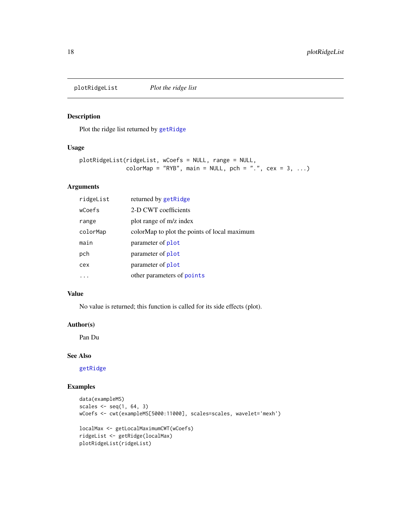<span id="page-17-0"></span>plotRidgeList *Plot the ridge list*

#### Description

Plot the ridge list returned by [getRidge](#page-6-1)

## Usage

```
plotRidgeList(ridgeList, wCoefs = NULL, range = NULL,
              colorMap = "RYB", main = NULL, pch = ".", cex = 3, ...)
```
## Arguments

| ridgeList | returned by getRidge                         |
|-----------|----------------------------------------------|
| wCoefs    | 2-D CWT coefficients                         |
| range     | plot range of m/z index                      |
| colorMap  | colorMap to plot the points of local maximum |
| main      | parameter of <b>plot</b>                     |
| pch       | parameter of <b>plot</b>                     |
| cex       | parameter of <b>plot</b>                     |
|           | other parameters of points                   |

#### Value

No value is returned; this function is called for its side effects (plot).

## Author(s)

Pan Du

#### See Also

[getRidge](#page-6-1)

```
data(exampleMS)
scales \leq seq(1, 64, 3)
wCoefs <- cwt(exampleMS[5000:11000], scales=scales, wavelet='mexh')
localMax <- getLocalMaximumCWT(wCoefs)
ridgeList <- getRidge(localMax)
plotRidgeList(ridgeList)
```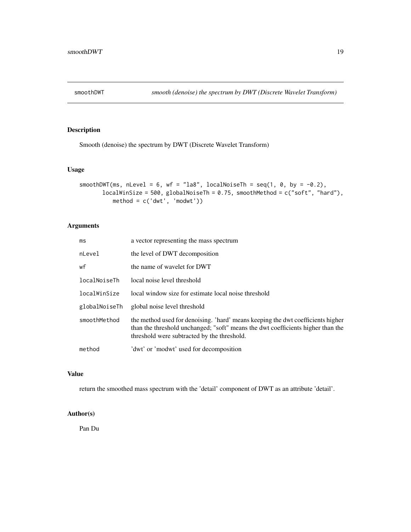<span id="page-18-0"></span>

Smooth (denoise) the spectrum by DWT (Discrete Wavelet Transform)

## Usage

```
smoothDWT(ms, nLevel = 6, wf = "la8", localNoiseTh = seq(1, 0, by = -0.2),
      localWinSize = 500, globalNoiseTh = 0.75, smoothMethod = c("soft", "hard"),method = c('dwt', 'modwt'))
```
## Arguments

| ms            | a vector representing the mass spectrum                                                                                                                                                                           |
|---------------|-------------------------------------------------------------------------------------------------------------------------------------------------------------------------------------------------------------------|
| nLevel        | the level of DWT decomposition                                                                                                                                                                                    |
| wf            | the name of wavelet for DWT                                                                                                                                                                                       |
| localNoiseTh  | local noise level threshold                                                                                                                                                                                       |
| localWinSize  | local window size for estimate local noise threshold                                                                                                                                                              |
| globalNoiseTh | global noise level threshold                                                                                                                                                                                      |
| smoothMethod  | the method used for denoising. 'hard' means keeping the dwt coefficients higher<br>than the threshold unchanged; "soft" means the dwt coefficients higher than the<br>threshold were subtracted by the threshold. |
| method        | 'dwt' or 'modwt' used for decomposition                                                                                                                                                                           |

## Value

return the smoothed mass spectrum with the 'detail' component of DWT as an attribute 'detail'.

## Author(s)

Pan Du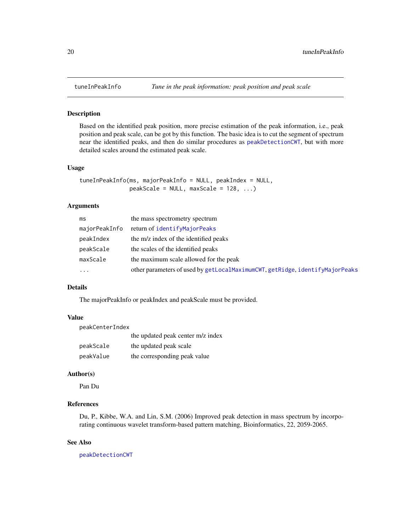<span id="page-19-1"></span><span id="page-19-0"></span>

Based on the identified peak position, more precise estimation of the peak information, i.e., peak position and peak scale, can be got by this function. The basic idea is to cut the segment of spectrum near the identified peaks, and then do similar procedures as [peakDetectionCWT](#page-13-1), but with more detailed scales around the estimated peak scale.

#### Usage

```
tuneInPeakInfo(ms, majorPeakInfo = NULL, peakIndex = NULL,
              peakScale = NULL, maxScale = 128, ...)
```
#### Arguments

| ms            | the mass spectrometry spectrum                                               |
|---------------|------------------------------------------------------------------------------|
| majorPeakInfo | return of identifyMajorPeaks                                                 |
| peakIndex     | the m/z index of the identified peaks                                        |
| peakScale     | the scales of the identified peaks                                           |
| maxScale      | the maximum scale allowed for the peak                                       |
| $\cdots$      | other parameters of used by getLocalMaximumCWT, getRidge, identifyMajorPeaks |

#### Details

The majorPeakInfo or peakIndex and peakScale must be provided.

## Value

| peakCenterIndex |                                   |
|-----------------|-----------------------------------|
|                 | the updated peak center m/z index |
| peakScale       | the updated peak scale            |
| peakValue       | the corresponding peak value      |

## Author(s)

Pan Du

#### References

Du, P., Kibbe, W.A. and Lin, S.M. (2006) Improved peak detection in mass spectrum by incorporating continuous wavelet transform-based pattern matching, Bioinformatics, 22, 2059-2065.

#### See Also

[peakDetectionCWT](#page-13-1)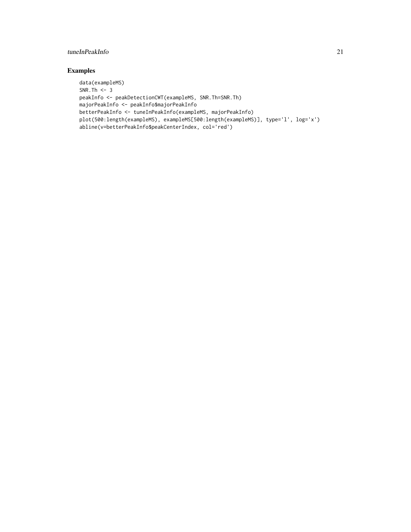## tuneInPeakInfo 21

```
data(exampleMS)
SNR.Th <-3peakInfo <- peakDetectionCWT(exampleMS, SNR.Th=SNR.Th)
majorPeakInfo <- peakInfo$majorPeakInfo
betterPeakInfo <- tuneInPeakInfo(exampleMS, majorPeakInfo)
plot(500:length(exampleMS), exampleMS[500:length(exampleMS)], type='l', log='x')
abline(v=betterPeakInfo$peakCenterIndex, col='red')
```